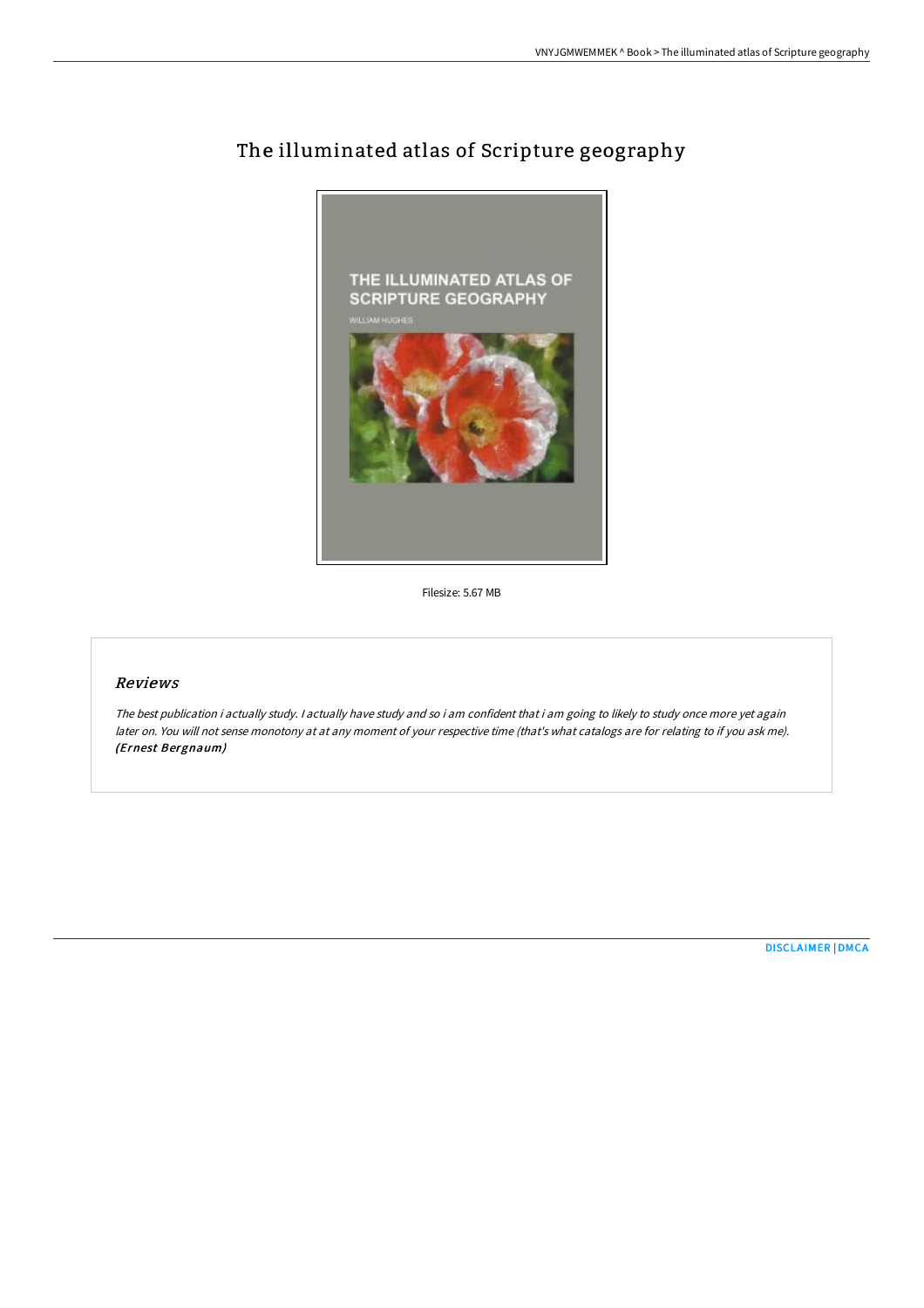

## The illuminated atlas of Scripture geography

Filesize: 5.67 MB

## Reviews

The best publication i actually study. <sup>I</sup> actually have study and so i am confident that i am going to likely to study once more yet again later on. You will not sense monotony at at any moment of your respective time (that's what catalogs are for relating to if you ask me). (Ernest Bergnaum)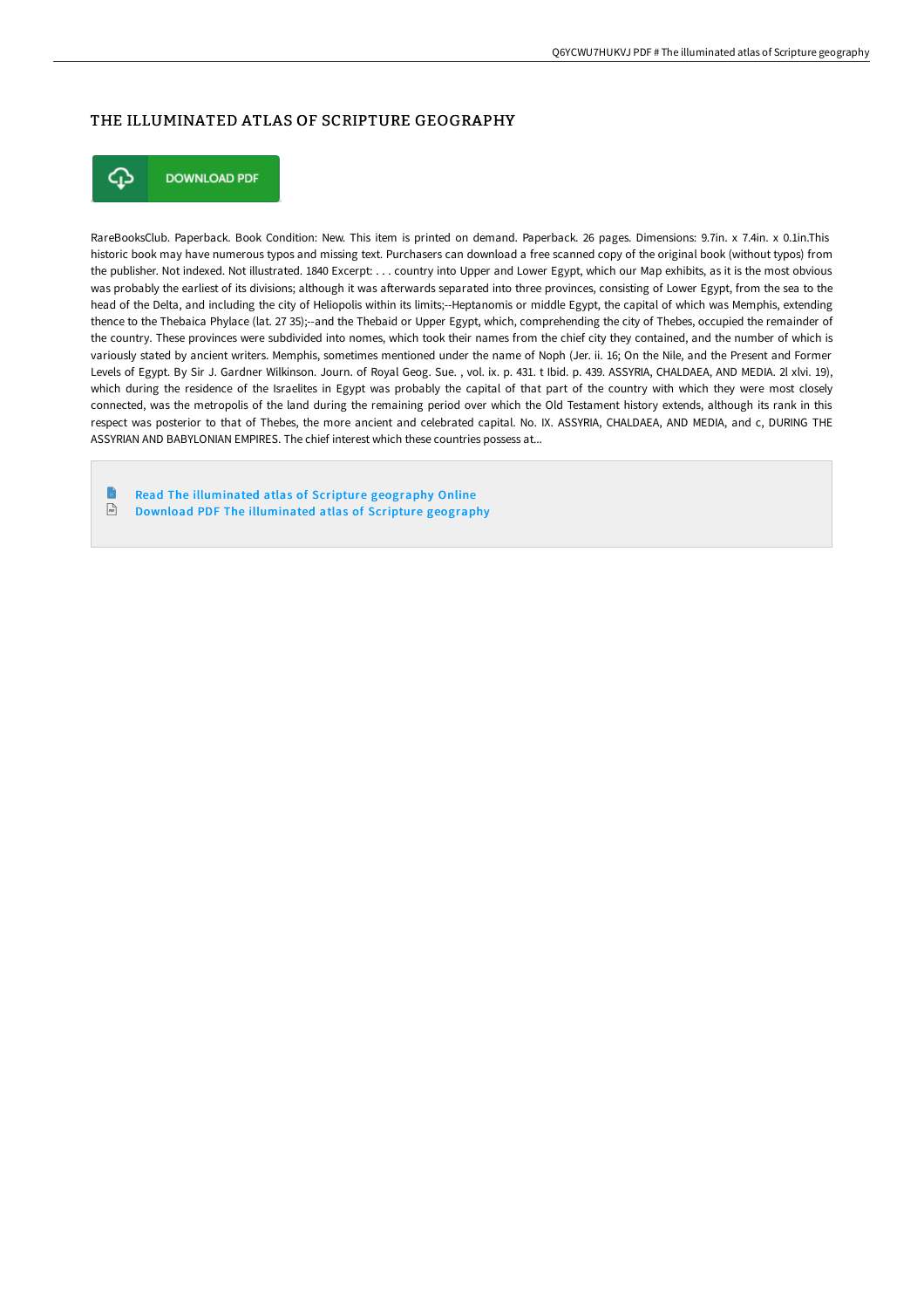## THE ILLUMINATED ATLAS OF SCRIPTURE GEOGRAPHY



**DOWNLOAD PDF** 

RareBooksClub. Paperback. Book Condition: New. This item is printed on demand. Paperback. 26 pages. Dimensions: 9.7in. x 7.4in. x 0.1in.This historic book may have numerous typos and missing text. Purchasers can download a free scanned copy of the original book (without typos) from the publisher. Not indexed. Not illustrated. 1840 Excerpt: . . . country into Upper and Lower Egypt, which our Map exhibits, as it is the most obvious was probably the earliest of its divisions; although it was afterwards separated into three provinces, consisting of Lower Egypt, from the sea to the head of the Delta, and including the city of Heliopolis within its limits;--Heptanomis or middle Egypt, the capital of which was Memphis, extending thence to the Thebaica Phylace (lat. 27 35);--and the Thebaid or Upper Egypt, which, comprehending the city of Thebes, occupied the remainder of the country. These provinces were subdivided into nomes, which took their names from the chief city they contained, and the number of which is variously stated by ancient writers. Memphis, sometimes mentioned under the name of Noph (Jer. ii. 16; On the Nile, and the Present and Former Levels of Egypt. By Sir J. Gardner Wilkinson. Journ. of Royal Geog. Sue. , vol. ix. p. 431. t Ibid. p. 439. ASSYRIA, CHALDAEA, AND MEDIA. 2l xlvi. 19), which during the residence of the Israelites in Egypt was probably the capital of that part of the country with which they were most closely connected, was the metropolis of the land during the remaining period over which the Old Testament history extends, although its rank in this respect was posterior to that of Thebes, the more ancient and celebrated capital. No. IX. ASSYRIA, CHALDAEA, AND MEDIA, and c, DURING THE ASSYRIAN AND BABYLONIAN EMPIRES. The chief interest which these countries possess at...

Read The [illuminated](http://techno-pub.tech/the-illuminated-atlas-of-scripture-geography.html) atlas of Scripture geography Online  $\overline{\mathbb{R}^k}$ Download PDF The [illuminated](http://techno-pub.tech/the-illuminated-atlas-of-scripture-geography.html) atlas of Scripture geography